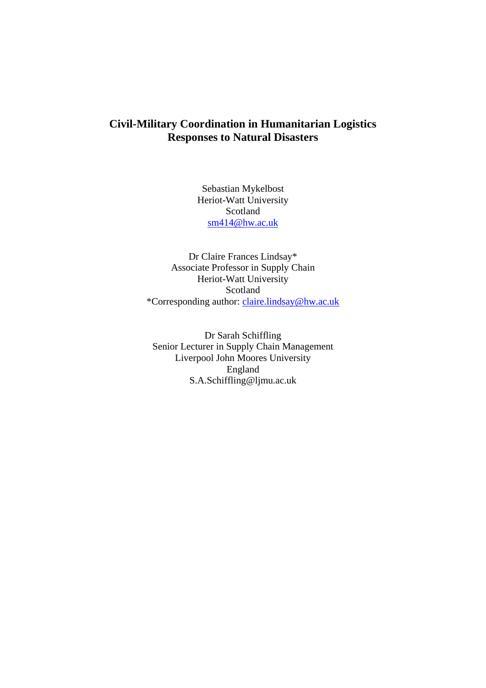# **Civil-Military Coordination in Humanitarian Logistics Responses to Natural Disasters**

Sebastian Mykelbost Heriot-Watt University Scotland [sm414@hw.ac.uk](mailto:sm414@hw.ac.uk)

Dr Claire Frances Lindsay\* Associate Professor in Supply Chain Heriot-Watt University Scotland \*Corresponding author: [claire.lindsay@hw.ac.uk](mailto:claire.lindsay@hw.ac.uk)

Dr Sarah Schiffling Senior Lecturer in Supply Chain Management Liverpool John Moores University England S.A.Schiffling@ljmu.ac.uk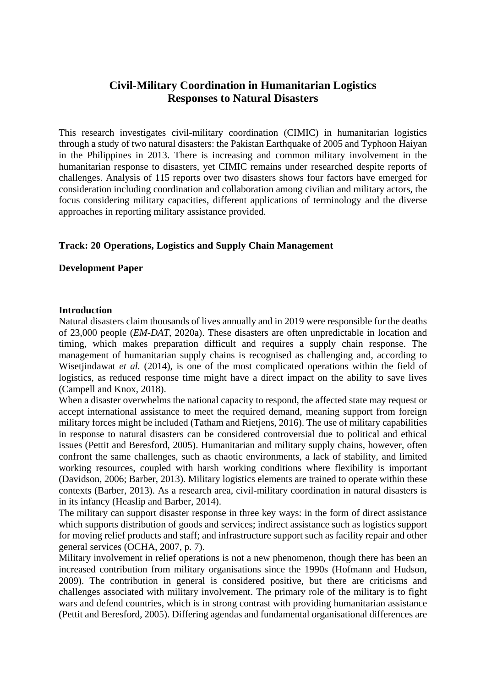# **Civil-Military Coordination in Humanitarian Logistics Responses to Natural Disasters**

This research investigates civil-military coordination (CIMIC) in humanitarian logistics through a study of two natural disasters: the Pakistan Earthquake of 2005 and Typhoon Haiyan in the Philippines in 2013. There is increasing and common military involvement in the humanitarian response to disasters, yet CIMIC remains under researched despite reports of challenges. Analysis of 115 reports over two disasters shows four factors have emerged for consideration including coordination and collaboration among civilian and military actors, the focus considering military capacities, different applications of terminology and the diverse approaches in reporting military assistance provided.

## **Track: 20 Operations, Logistics and Supply Chain Management**

## **Development Paper**

## **Introduction**

Natural disasters claim thousands of lives annually and in 2019 were responsible for the deaths of 23,000 people (*EM-DAT*, 2020a). These disasters are often unpredictable in location and timing, which makes preparation difficult and requires a supply chain response. The management of humanitarian supply chains is recognised as challenging and, according to Wisetjindawat *et al.* (2014), is one of the most complicated operations within the field of logistics, as reduced response time might have a direct impact on the ability to save lives (Campell and Knox, 2018).

When a disaster overwhelms the national capacity to respond, the affected state may request or accept international assistance to meet the required demand, meaning support from foreign military forces might be included (Tatham and Rietjens, 2016). The use of military capabilities in response to natural disasters can be considered controversial due to political and ethical issues (Pettit and Beresford, 2005). Humanitarian and military supply chains, however, often confront the same challenges, such as chaotic environments, a lack of stability, and limited working resources, coupled with harsh working conditions where flexibility is important (Davidson, 2006; Barber, 2013). Military logistics elements are trained to operate within these contexts (Barber, 2013). As a research area, civil-military coordination in natural disasters is in its infancy (Heaslip and Barber, 2014).

The military can support disaster response in three key ways: in the form of direct assistance which supports distribution of goods and services; indirect assistance such as logistics support for moving relief products and staff; and infrastructure support such as facility repair and other general services (OCHA, 2007, p. 7).

Military involvement in relief operations is not a new phenomenon, though there has been an increased contribution from military organisations since the 1990s (Hofmann and Hudson, 2009). The contribution in general is considered positive, but there are criticisms and challenges associated with military involvement. The primary role of the military is to fight wars and defend countries, which is in strong contrast with providing humanitarian assistance (Pettit and Beresford, 2005). Differing agendas and fundamental organisational differences are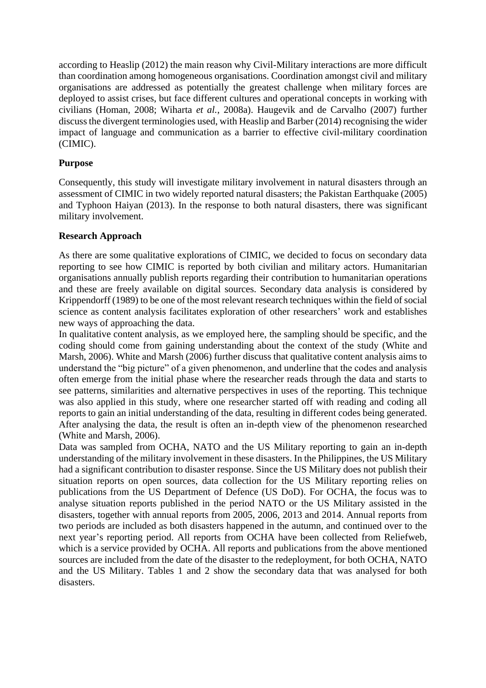according to Heaslip (2012) the main reason why Civil-Military interactions are more difficult than coordination among homogeneous organisations. Coordination amongst civil and military organisations are addressed as potentially the greatest challenge when military forces are deployed to assist crises, but face different cultures and operational concepts in working with civilians (Homan, 2008; Wiharta *et al.*, 2008a). Haugevik and de Carvalho (2007) further discuss the divergent terminologies used, with Heaslip and Barber (2014) recognising the wider impact of language and communication as a barrier to effective civil-military coordination (CIMIC).

## **Purpose**

Consequently, this study will investigate military involvement in natural disasters through an assessment of CIMIC in two widely reported natural disasters; the Pakistan Earthquake (2005) and Typhoon Haiyan (2013). In the response to both natural disasters, there was significant military involvement.

## **Research Approach**

As there are some qualitative explorations of CIMIC, we decided to focus on secondary data reporting to see how CIMIC is reported by both civilian and military actors. Humanitarian organisations annually publish reports regarding their contribution to humanitarian operations and these are freely available on digital sources. Secondary data analysis is considered by Krippendorff (1989) to be one of the most relevant research techniques within the field of social science as content analysis facilitates exploration of other researchers' work and establishes new ways of approaching the data.

In qualitative content analysis, as we employed here, the sampling should be specific, and the coding should come from gaining understanding about the context of the study (White and Marsh, 2006). White and Marsh (2006) further discuss that qualitative content analysis aims to understand the "big picture" of a given phenomenon, and underline that the codes and analysis often emerge from the initial phase where the researcher reads through the data and starts to see patterns, similarities and alternative perspectives in uses of the reporting. This technique was also applied in this study, where one researcher started off with reading and coding all reports to gain an initial understanding of the data, resulting in different codes being generated. After analysing the data, the result is often an in-depth view of the phenomenon researched (White and Marsh, 2006).

Data was sampled from OCHA, NATO and the US Military reporting to gain an in-depth understanding of the military involvement in these disasters. In the Philippines, the US Military had a significant contribution to disaster response. Since the US Military does not publish their situation reports on open sources, data collection for the US Military reporting relies on publications from the US Department of Defence (US DoD). For OCHA, the focus was to analyse situation reports published in the period NATO or the US Military assisted in the disasters, together with annual reports from 2005, 2006, 2013 and 2014. Annual reports from two periods are included as both disasters happened in the autumn, and continued over to the next year's reporting period. All reports from OCHA have been collected from Reliefweb, which is a service provided by OCHA. All reports and publications from the above mentioned sources are included from the date of the disaster to the redeployment, for both OCHA, NATO and the US Military. Tables 1 and 2 show the secondary data that was analysed for both disasters.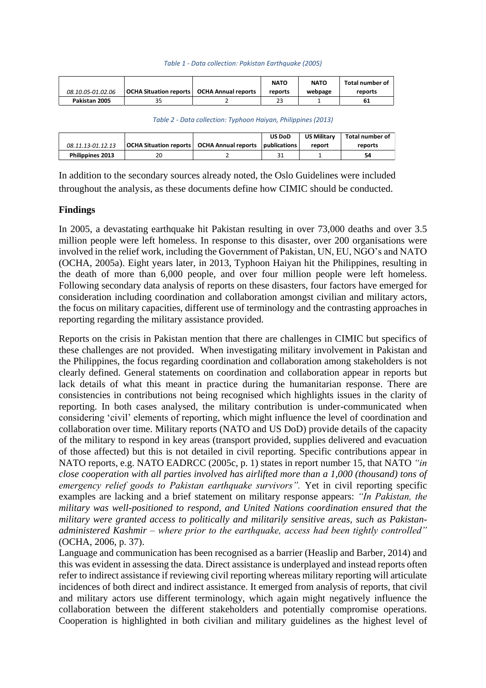#### *Table 1 - Data collection: Pakistan Earthquake (2005)*

|                   |                                                     | <b>NATO</b> | <b>NATO</b> | Total number of |
|-------------------|-----------------------------------------------------|-------------|-------------|-----------------|
| 08.10.05-01.02.06 | <b>OCHA Situation reports   OCHA Annual reports</b> | reports     | webpage     | reports         |
| Pakistan 2005     | 35                                                  |             |             |                 |

*Table 2 - Data collection: Typhoon Haiyan, Philippines (2013)*

|                         |    | <b>US DoD</b> | <b>US Military</b> | Total number of |
|-------------------------|----|---------------|--------------------|-----------------|
| 08.11.13-01.12.13       |    |               | report             | reports         |
| <b>Philippines 2013</b> | 20 |               |                    | 54              |

In addition to the secondary sources already noted, the Oslo Guidelines were included throughout the analysis, as these documents define how CIMIC should be conducted.

#### **Findings**

In 2005, a devastating earthquake hit Pakistan resulting in over 73,000 deaths and over 3.5 million people were left homeless. In response to this disaster, over 200 organisations were involved in the relief work, including the Government of Pakistan, UN, EU, NGO's and NATO (OCHA, 2005a). Eight years later, in 2013, Typhoon Haiyan hit the Philippines, resulting in the death of more than 6,000 people, and over four million people were left homeless. Following secondary data analysis of reports on these disasters, four factors have emerged for consideration including coordination and collaboration amongst civilian and military actors, the focus on military capacities, different use of terminology and the contrasting approaches in reporting regarding the military assistance provided.

Reports on the crisis in Pakistan mention that there are challenges in CIMIC but specifics of these challenges are not provided. When investigating military involvement in Pakistan and the Philippines, the focus regarding coordination and collaboration among stakeholders is not clearly defined. General statements on coordination and collaboration appear in reports but lack details of what this meant in practice during the humanitarian response. There are consistencies in contributions not being recognised which highlights issues in the clarity of reporting. In both cases analysed, the military contribution is under-communicated when considering 'civil' elements of reporting, which might influence the level of coordination and collaboration over time. Military reports (NATO and US DoD) provide details of the capacity of the military to respond in key areas (transport provided, supplies delivered and evacuation of those affected) but this is not detailed in civil reporting. Specific contributions appear in NATO reports, e.g. NATO EADRCC (2005c, p. 1) states in report number 15, that NATO *"in close cooperation with all parties involved has airlifted more than a 1,000 (thousand) tons of emergency relief goods to Pakistan earthquake survivors".* Yet in civil reporting specific examples are lacking and a brief statement on military response appears: *"In Pakistan, the military was well-positioned to respond, and United Nations coordination ensured that the military were granted access to politically and militarily sensitive areas, such as Pakistanadministered Kashmir – where prior to the earthquake, access had been tightly controlled"* (OCHA, 2006, p. 37).

Language and communication has been recognised as a barrier (Heaslip and Barber, 2014) and this was evident in assessing the data. Direct assistance is underplayed and instead reports often refer to indirect assistance if reviewing civil reporting whereas military reporting will articulate incidences of both direct and indirect assistance. It emerged from analysis of reports, that civil and military actors use different terminology, which again might negatively influence the collaboration between the different stakeholders and potentially compromise operations. Cooperation is highlighted in both civilian and military guidelines as the highest level of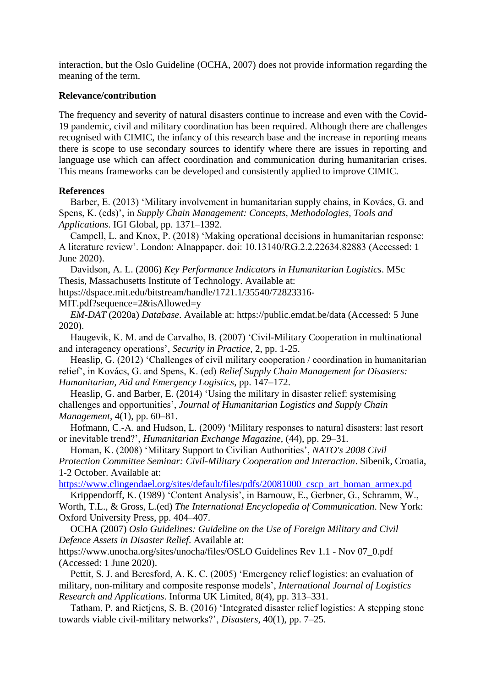interaction, but the Oslo Guideline (OCHA, 2007) does not provide information regarding the meaning of the term.

### **Relevance/contribution**

The frequency and severity of natural disasters continue to increase and even with the Covid-19 pandemic, civil and military coordination has been required. Although there are challenges recognised with CIMIC, the infancy of this research base and the increase in reporting means there is scope to use secondary sources to identify where there are issues in reporting and language use which can affect coordination and communication during humanitarian crises. This means frameworks can be developed and consistently applied to improve CIMIC.

#### **References**

Barber, E. (2013) 'Military involvement in humanitarian supply chains, in Kovács, G. and Spens, K. (eds)', in *Supply Chain Management: Concepts, Methodologies, Tools and Applications*. IGI Global, pp. 1371–1392.

Campell, L. and Knox, P. (2018) 'Making operational decisions in humanitarian response: A literature review'. London: Alnappaper. doi: 10.13140/RG.2.2.22634.82883 (Accessed: 1 June 2020).

Davidson, A. L. (2006) *Key Performance Indicators in Humanitarian Logistics*. MSc Thesis, Massachusetts Institute of Technology. Available at:

https://dspace.mit.edu/bitstream/handle/1721.1/35540/72823316-

MIT.pdf?sequence=2&isAllowed=y

*EM-DAT* (2020a) *Database*. Available at: https://public.emdat.be/data (Accessed: 5 June 2020).

Haugevik, K. M. and de Carvalho, B. (2007) 'Civil-Military Cooperation in multinational and interagency operations', *Security in Practice*, 2, pp. 1-25.

Heaslip, G. (2012) 'Challenges of civil military cooperation / coordination in humanitarian relief', in Kovács, G. and Spens, K. (ed) *Relief Supply Chain Management for Disasters: Humanitarian, Aid and Emergency Logistics*, pp. 147–172.

Heaslip, G. and Barber, E. (2014) 'Using the military in disaster relief: systemising challenges and opportunities', *Journal of Humanitarian Logistics and Supply Chain Management*, 4(1), pp. 60–81.

Hofmann, C.-A. and Hudson, L. (2009) 'Military responses to natural disasters: last resort or inevitable trend?', *Humanitarian Exchange Magazine*, (44), pp. 29–31.

Homan, K. (2008) 'Military Support to Civilian Authorities', *NATO's 2008 Civil Protection Committee Seminar: Civil-Military Cooperation and Interaction*. Sibenik, Croatia, 1-2 October. Available at:

[https://www.clingendael.org/sites/default/files/pdfs/20081000\\_cscp\\_art\\_homan\\_armex.pd](https://www.clingendael.org/sites/default/files/pdfs/20081000_cscp_art_homan_armex.pd)

Krippendorff, K. (1989) 'Content Analysis', in Barnouw, E., Gerbner, G., Schramm, W., Worth, T.L., & Gross, L*.*(ed) *The International Encyclopedia of Communication*. New York: Oxford University Press, pp. 404–407.

OCHA (2007) *Oslo Guidelines: Guideline on the Use of Foreign Military and Civil Defence Assets in Disaster Relief*. Available at:

https://www.unocha.org/sites/unocha/files/OSLO Guidelines Rev 1.1 - Nov 07\_0.pdf (Accessed: 1 June 2020).

Pettit, S. J. and Beresford, A. K. C. (2005) 'Emergency relief logistics: an evaluation of military, non-military and composite response models', *International Journal of Logistics Research and Applications*. Informa UK Limited, 8(4), pp. 313–331.

Tatham, P. and Rietjens, S. B. (2016) 'Integrated disaster relief logistics: A stepping stone towards viable civil-military networks?', *Disasters*, 40(1), pp. 7–25.